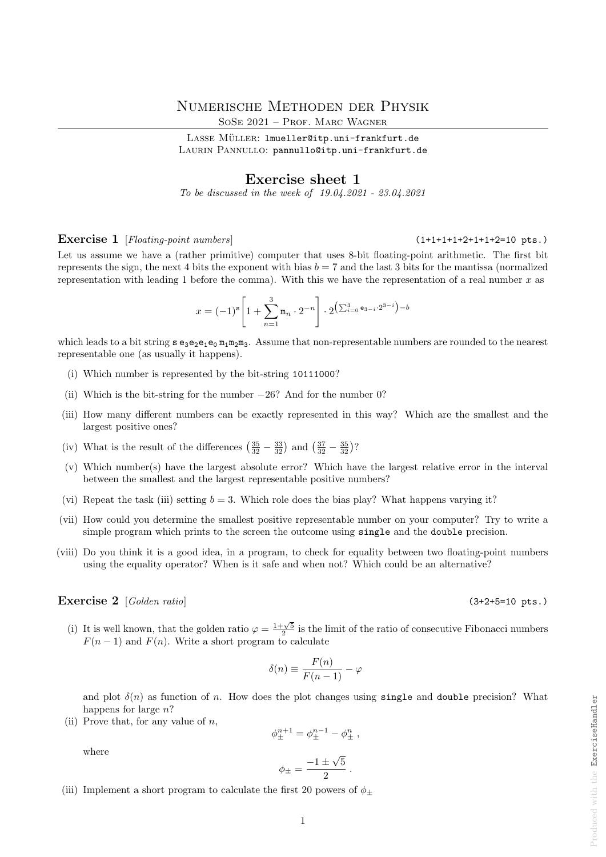# Numerische Methoden der Physik

SOSE 2021 - PROF. MARC WAGNER

LASSE MÜLLER: lmueller@itp.uni-frankfurt.de LAURIN PANNULLO: pannullo@itp.uni-frankfurt.de

# Exercise sheet 1

To be discussed in the week of 19.04.2021 - 23.04.2021

# Exercise 1 [Floating-point numbers] (1+1+1+1+2+1+1+2=10 pts.)

Let us assume we have a (rather primitive) computer that uses 8-bit floating-point arithmetic. The first bit represents the sign, the next 4 bits the exponent with bias  $b = 7$  and the last 3 bits for the mantissa (normalized representation with leading 1 before the comma). With this we have the representation of a real number  $x$  as

$$
x = (-1)^{\mathbf{s}} \left[ 1 + \sum_{n=1}^{3} \mathbf{m}_n \cdot 2^{-n} \right] \cdot 2^{\left( \sum_{i=0}^{3} \mathbf{e}_{3-i} \cdot 2^{3-i} \right) - b}
$$

which leads to a bit string  $s e_3 e_2 e_1 e_0 m_1 m_2 m_3$ . Assume that non-representable numbers are rounded to the nearest representable one (as usually it happens).

- (i) Which number is represented by the bit-string 10111000?
- (ii) Which is the bit-string for the number  $-26$ ? And for the number 0?
- (iii) How many different numbers can be exactly represented in this way? Which are the smallest and the largest positive ones?
- (iv) What is the result of the differences  $\left(\frac{35}{32} \frac{33}{32}\right)$  and  $\left(\frac{37}{32} \frac{35}{32}\right)$ ?
- (v) Which number(s) have the largest absolute error? Which have the largest relative error in the interval between the smallest and the largest representable positive numbers?
- (vi) Repeat the task (iii) setting  $b = 3$ . Which role does the bias play? What happens varying it?
- (vii) How could you determine the smallest positive representable number on your computer? Try to write a simple program which prints to the screen the outcome using single and the double precision.
- (viii) Do you think it is a good idea, in a program, to check for equality between two floating-point numbers using the equality operator? When is it safe and when not? Which could be an alternative?

# Exercise  $2 \left[ Golden ratio \right]$  (3+2+5=10 pts.)

(i) It is well known, that the golden ratio  $\varphi = \frac{1+\sqrt{5}}{2}$  is the limit of the ratio of consecutive Fibonacci numbers  $F(n-1)$  and  $F(n)$ . Write a short program to calculate

$$
\delta(n) \equiv \frac{F(n)}{F(n-1)} - \varphi
$$

and plot  $\delta(n)$  as function of n. How does the plot changes using single and double precision? What happens for large n?

(ii) Prove that, for any value of  $n$ ,

$$
\phi^{n+1}_\pm = \phi^{n-1}_\pm - \phi^n_\pm \; , \qquad
$$

where

$$
\phi_{\pm} = \frac{-1 \pm \sqrt{5}}{2}.
$$

(iii) Implement a short program to calculate the first 20 powers of  $\phi$ +